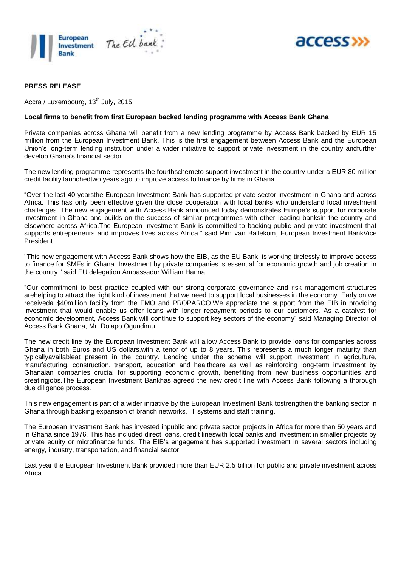



#### **PRESS RELEASE**

Accra / Luxembourg, 13<sup>th</sup> July, 2015

#### **Local firms to benefit from first European backed lending programme with Access Bank Ghana**

Private companies across Ghana will benefit from a new lending programme by Access Bank backed by EUR 15 million from the European Investment Bank. This is the first engagement between Access Bank and the European Union's long-term lending institution under a wider initiative to support private investment in the country andfurther develop Ghana's financial sector.

The new lending programme represents the fourthschemeto support investment in the country under a EUR 80 million credit facility launchedtwo years ago to improve access to finance by firms in Ghana.

"Over the last 40 yearsthe European Investment Bank has supported private sector investment in Ghana and across Africa. This has only been effective given the close cooperation with local banks who understand local investment challenges. The new engagement with Access Bank announced today demonstrates Europe's support for corporate investment in Ghana and builds on the success of similar programmes with other leading banksin the country and elsewhere across Africa.The European Investment Bank is committed to backing public and private investment that supports entrepreneurs and improves lives across Africa." said Pim van Ballekom, European Investment BankVice President.

"This new engagement with Access Bank shows how the EIB, as the EU Bank, is working tirelessly to improve access to finance for SMEs in Ghana. Investment by private companies is essential for economic growth and job creation in the country." said EU delegation Ambassador William Hanna.

"Our commitment to best practice coupled with our strong corporate governance and risk management structures arehelping to attract the right kind of investment that we need to support local businesses in the economy. Early on we receiveda \$40million facility from the FMO and PROPARCO.We appreciate the support from the EIB in providing investment that would enable us offer loans with longer repayment periods to our customers. As a catalyst for economic development, Access Bank will continue to support key sectors of the economy" said Managing Director of Access Bank Ghana, Mr. Dolapo Ogundimu.

The new credit line by the European Investment Bank will allow Access Bank to provide loans for companies across Ghana in both Euros and US dollars,with a tenor of up to 8 years. This represents a much longer maturity than typicallyavailableat present in the country. Lending under the scheme will support investment in agriculture, manufacturing, construction, transport, education and healthcare as well as reinforcing long-term investment by Ghanaian companies crucial for supporting economic growth, benefiting from new business opportunities and creatingjobs.The European Investment Bankhas agreed the new credit line with Access Bank following a thorough due diligence process.

This new engagement is part of a wider initiative by the European Investment Bank tostrengthen the banking sector in Ghana through backing expansion of branch networks, IT systems and staff training.

The European Investment Bank has invested inpublic and private sector projects in Africa for more than 50 years and in Ghana since 1976. This has included direct loans, credit lineswith local banks and investment in smaller projects by private equity or microfinance funds. The EIB's engagement has supported investment in several sectors including energy, industry, transportation, and financial sector.

Last year the European Investment Bank provided more than EUR 2.5 billion for public and private investment across Africa.